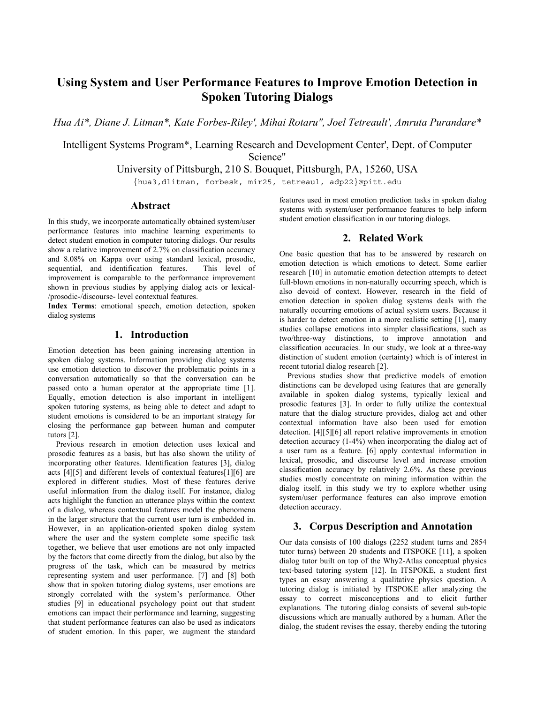# **Using System and User Performance Features to Improve Emotion Detection in Spoken Tutoring Dialogs**

*Hua Ai\*, Diane J. Litman\*, Kate Forbes-Riley', Mihai Rotaru", Joel Tetreault', Amruta Purandare\** 

Intelligent Systems Program\*, Learning Research and Development Center', Dept. of Computer Science"

University of Pittsburgh, 210 S. Bouquet, Pittsburgh, PA, 15260, USA

{hua3,dlitman, forbesk, mir25, tetreaul, adp22}@pitt.edu

#### **Abstract**

In this study, we incorporate automatically obtained system/user performance features into machine learning experiments to detect student emotion in computer tutoring dialogs. Our results show a relative improvement of 2.7% on classification accuracy and 8.08% on Kappa over using standard lexical, prosodic, sequential, and identification features. improvement is comparable to the performance improvement shown in previous studies by applying dialog acts or lexical- /prosodic-/discourse- level contextual features.

**Index Terms**: emotional speech, emotion detection, spoken dialog systems

## **1. Introduction**

Emotion detection has been gaining increasing attention in spoken dialog systems. Information providing dialog systems use emotion detection to discover the problematic points in a conversation automatically so that the conversation can be passed onto a human operator at the appropriate time [1]. Equally, emotion detection is also important in intelligent spoken tutoring systems, as being able to detect and adapt to student emotions is considered to be an important strategy for closing the performance gap between human and computer tutors [2].

Previous research in emotion detection uses lexical and prosodic features as a basis, but has also shown the utility of incorporating other features. Identification features [3], dialog acts [4][5] and different levels of contextual features[1][6] are explored in different studies. Most of these features derive useful information from the dialog itself. For instance, dialog acts highlight the function an utterance plays within the context of a dialog, whereas contextual features model the phenomena in the larger structure that the current user turn is embedded in. However, in an application-oriented spoken dialog system where the user and the system complete some specific task together, we believe that user emotions are not only impacted by the factors that come directly from the dialog, but also by the progress of the task, which can be measured by metrics representing system and user performance. [7] and [8] both show that in spoken tutoring dialog systems, user emotions are strongly correlated with the system's performance. Other studies [9] in educational psychology point out that student emotions can impact their performance and learning, suggesting that student performance features can also be used as indicators of student emotion. In this paper, we augment the standard

features used in most emotion prediction tasks in spoken dialog systems with system/user performance features to help inform student emotion classification in our tutoring dialogs.

# **2. Related Work**

One basic question that has to be answered by research on emotion detection is which emotions to detect. Some earlier research [10] in automatic emotion detection attempts to detect full-blown emotions in non-naturally occurring speech, which is also devoid of context. However, research in the field of emotion detection in spoken dialog systems deals with the naturally occurring emotions of actual system users. Because it is harder to detect emotion in a more realistic setting [1], many studies collapse emotions into simpler classifications, such as two/three-way distinctions, to improve annotation and classification accuracies. In our study, we look at a three-way distinction of student emotion (certainty) which is of interest in recent tutorial dialog research [2].

Previous studies show that predictive models of emotion distinctions can be developed using features that are generally available in spoken dialog systems, typically lexical and prosodic features [3]. In order to fully utilize the contextual nature that the dialog structure provides, dialog act and other contextual information have also been used for emotion detection. [4][5][6] all report relative improvements in emotion detection accuracy (1-4%) when incorporating the dialog act of a user turn as a feature. [6] apply contextual information in lexical, prosodic, and discourse level and increase emotion classification accuracy by relatively 2.6%. As these previous studies mostly concentrate on mining information within the dialog itself, in this study we try to explore whether using system/user performance features can also improve emotion detection accuracy.

# **3. Corpus Description and Annotation**

Our data consists of 100 dialogs (2252 student turns and 2854 tutor turns) between 20 students and ITSPOKE [11], a spoken dialog tutor built on top of the Why2-Atlas conceptual physics text-based tutoring system [12]. In ITSPOKE, a student first types an essay answering a qualitative physics question. A tutoring dialog is initiated by ITSPOKE after analyzing the essay to correct misconceptions and to elicit further explanations. The tutoring dialog consists of several sub-topic discussions which are manually authored by a human. After the dialog, the student revises the essay, thereby ending the tutoring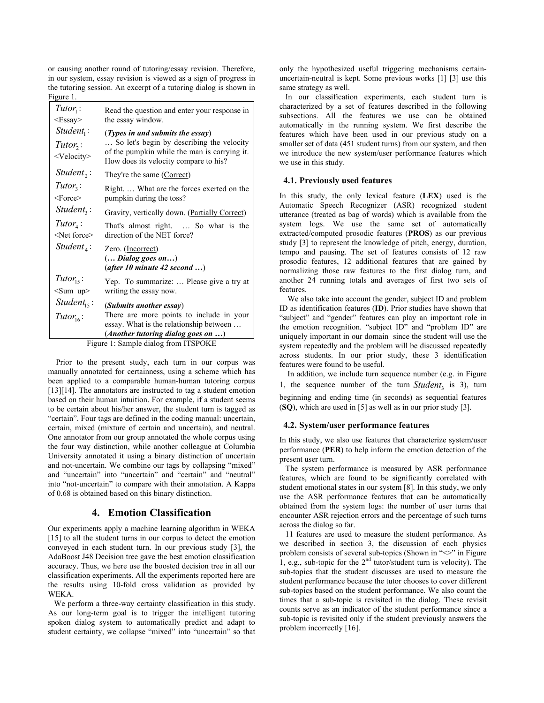or causing another round of tutoring/essay revision. Therefore, in our system, essay revision is viewed as a sign of progress in the tutoring session. An excerpt of a tutoring dialog is shown in Figure 1.

| $Tutor_1$ :<br>$\langle$ Essay $\rangle$            | Read the question and enter your response in<br>the essay window.                                                                                                                               |  |  |  |
|-----------------------------------------------------|-------------------------------------------------------------------------------------------------------------------------------------------------------------------------------------------------|--|--|--|
| $Student_1$ :<br>$Tutor$ :<br><velocity></velocity> | ( <i>Types in and submits the essay</i> )<br>So let's begin by describing the velocity<br>$\mathbf{r}$<br>of the pumpkin while the man is carrying it.<br>How does its velocity compare to his? |  |  |  |
| Student <sub>2</sub> :                              | They're the same (Correct)                                                                                                                                                                      |  |  |  |
| $Tutor_3$ :<br>$<$ Force $>$                        | Right What are the forces exerted on the<br>pumpkin during the toss?                                                                                                                            |  |  |  |
| $Student_3$ :                                       | Gravity, vertically down. (Partially Correct)                                                                                                                                                   |  |  |  |
| $Tutor_4$ :<br><net force=""></net>                 | That's almost right.  So what is the<br>direction of the NET force?                                                                                                                             |  |  |  |
| $Student_{4}$ :                                     | Zero. (Incorrect)<br>$($ Dialog goes on $$ )<br>(after 10 minute 42 second )                                                                                                                    |  |  |  |
| $Tutor_{15}$ :<br>$\leq$ Sum up $>$                 | Yep. To summarize:  Please give a try at<br>writing the essay now.                                                                                                                              |  |  |  |
| Student <sub>15</sub> :                             | (Submits another essay)                                                                                                                                                                         |  |  |  |
| Tutor <sub>16</sub> :                               | There are more points to include in your<br>essay. What is the relationship between                                                                                                             |  |  |  |
| $(Another tutoring dialog goes on )$                |                                                                                                                                                                                                 |  |  |  |
| Figure 1: Sample dialog from ITSPOKE                |                                                                                                                                                                                                 |  |  |  |

Prior to the present study, each turn in our corpus was manually annotated for certainness, using a scheme which has been applied to a comparable human-human tutoring corpus [13][14]. The annotators are instructed to tag a student emotion based on their human intuition. For example, if a student seems to be certain about his/her answer, the student turn is tagged as "certain". Four tags are defined in the coding manual: uncertain, certain, mixed (mixture of certain and uncertain), and neutral. One annotator from our group annotated the whole corpus using the four way distinction, while another colleague at Columbia University annotated it using a binary distinction of uncertain and not-uncertain. We combine our tags by collapsing "mixed" and "uncertain" into "uncertain" and "certain" and "neutral" into "not-uncertain" to compare with their annotation. A Kappa of 0.68 is obtained based on this binary distinction.

# **4. Emotion Classification**

Our experiments apply a machine learning algorithm in WEKA [15] to all the student turns in our corpus to detect the emotion conveyed in each student turn. In our previous study [3], the AdaBoost J48 Decision tree gave the best emotion classification accuracy. Thus, we here use the boosted decision tree in all our classification experiments. All the experiments reported here are the results using 10-fold cross validation as provided by WEKA.

We perform a three-way certainty classification in this study. As our long-term goal is to trigger the intelligent tutoring spoken dialog system to automatically predict and adapt to student certainty, we collapse "mixed" into "uncertain" so that only the hypothesized useful triggering mechanisms certainuncertain-neutral is kept. Some previous works [1] [3] use this same strategy as well.

In our classification experiments, each student turn is characterized by a set of features described in the following subsections. All the features we use can be obtained automatically in the running system. We first describe the features which have been used in our previous study on a smaller set of data (451 student turns) from our system, and then we introduce the new system/user performance features which we use in this study.

#### **4.1. Previously used features**

In this study, the only lexical feature (**LEX**) used is the Automatic Speech Recognizer (ASR) recognized student utterance (treated as bag of words) which is available from the system logs. We use the same set of automatically extracted/computed prosodic features (**PROS**) as our previous study [3] to represent the knowledge of pitch, energy, duration, tempo and pausing. The set of features consists of 12 raw prosodic features, 12 additional features that are gained by normalizing those raw features to the first dialog turn, and another 24 running totals and averages of first two sets of features.

We also take into account the gender, subject ID and problem ID as identification features (**ID**). Prior studies have shown that "subject" and "gender" features can play an important role in the emotion recognition. "subject ID" and "problem ID" are uniquely important in our domain since the student will use the system repeatedly and the problem will be discussed repeatedly across students. In our prior study, these 3 identification features were found to be useful.

In addition, we include turn sequence number (e.g. in Figure 1, the sequence number of the turn *Student*<sub>3</sub> is 3), turn beginning and ending time (in seconds) as sequential features (**SQ**), which are used in [5] as well as in our prior study [3].

#### **4.2. System/user performance features**

In this study, we also use features that characterize system/user performance (**PER**) to help inform the emotion detection of the present user turn.

The system performance is measured by ASR performance features, which are found to be significantly correlated with student emotional states in our system [8]. In this study, we only use the ASR performance features that can be automatically obtained from the system logs: the number of user turns that encounter ASR rejection errors and the percentage of such turns across the dialog so far.

11 features are used to measure the student performance. As we described in section 3, the discussion of each physics problem consists of several sub-topics (Shown in " $\gg$ " in Figure 1, e.g., sub-topic for the  $2<sup>nd</sup>$  tutor/student turn is velocity). The sub-topics that the student discusses are used to measure the student performance because the tutor chooses to cover different sub-topics based on the student performance. We also count the times that a sub-topic is revisited in the dialog. These revisit counts serve as an indicator of the student performance since a sub-topic is revisited only if the student previously answers the problem incorrectly [16].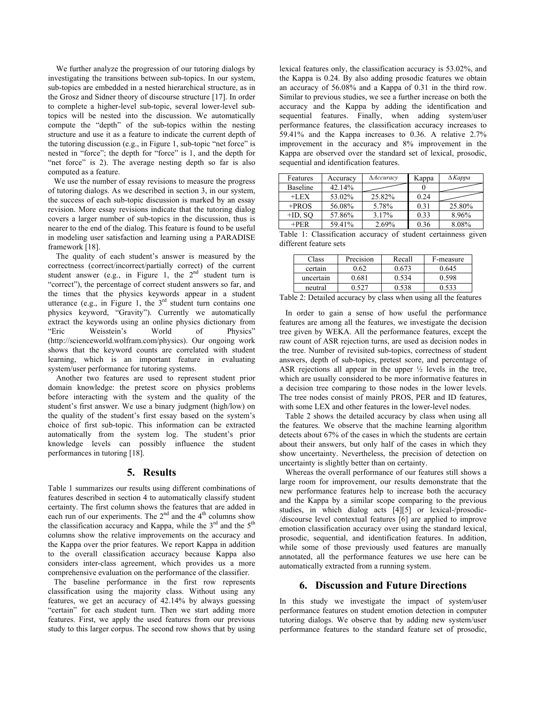We further analyze the progression of our tutoring dialogs by investigating the transitions between sub-topics. In our system, sub-topics are embedded in a nested hierarchical structure, as in the Grosz and Sidner theory of discourse structure [17]. In order to complete a higher-level sub-topic, several lower-level subtopics will be nested into the discussion. We automatically compute the "depth" of the sub-topics within the nesting structure and use it as a feature to indicate the current depth of the tutoring discussion (e.g., in Figure 1, sub-topic "net force" is nested in "force"; the depth for "force" is 1, and the depth for "net force" is 2). The average nesting depth so far is also computed as a feature.

We use the number of essay revisions to measure the progress of tutoring dialogs. As we described in section 3, in our system, the success of each sub-topic discussion is marked by an essay revision. More essay revisions indicate that the tutoring dialog covers a larger number of sub-topics in the discussion, thus is nearer to the end of the dialog. This feature is found to be useful in modeling user satisfaction and learning using a PARADISE framework [18].

 The quality of each student's answer is measured by the correctness (correct/incorrect/partially correct) of the current student answer (e.g., in Figure 1, the  $2<sup>nd</sup>$  student turn is "correct"), the percentage of correct student answers so far, and the times that the physics keywords appear in a student utterance (e.g., in Figure 1, the  $3<sup>rd</sup>$  student turn contains one physics keyword, "Gravity"). Currently we automatically extract the keywords using an online physics dictionary from "Eric Weisstein's World of Physics" (http://scienceworld.wolfram.com/physics). Our ongoing work shows that the keyword counts are correlated with student learning, which is an important feature in evaluating system/user performance for tutoring systems.

 Another two features are used to represent student prior domain knowledge: the pretest score on physics problems before interacting with the system and the quality of the student's first answer. We use a binary judgment (high/low) on the quality of the student's first essay based on the system's choice of first sub-topic. This information can be extracted automatically from the system log. The student's prior knowledge levels can possibly influence the student performances in tutoring [18].

#### **5. Results**

Table 1 summarizes our results using different combinations of features described in section 4 to automatically classify student certainty. The first column shows the features that are added in each run of our experiments. The  $2<sup>nd</sup>$  and the  $4<sup>th</sup>$  columns show the classification accuracy and Kappa, while the  $3<sup>rd</sup>$  and the  $5<sup>th</sup>$ columns show the relative improvements on the accuracy and the Kappa over the prior features. We report Kappa in addition to the overall classification accuracy because Kappa also considers inter-class agreement, which provides us a more comprehensive evaluation on the performance of the classifier.

The baseline performance in the first row represents classification using the majority class. Without using any features, we get an accuracy of 42.14% by always guessing "certain" for each student turn. Then we start adding more features. First, we apply the used features from our previous study to this larger corpus. The second row shows that by using lexical features only, the classification accuracy is 53.02%, and the Kappa is 0.24. By also adding prosodic features we obtain an accuracy of 56.08% and a Kappa of 0.31 in the third row. Similar to previous studies, we see a further increase on both the accuracy and the Kappa by adding the identification and sequential features. Finally, when adding system/user performance features, the classification accuracy increases to 59.41% and the Kappa increases to 0.36. A relative 2.7% improvement in the accuracy and 8% improvement in the Kappa are observed over the standard set of lexical, prosodic, sequential and identification features.

| Features        | Accuracy | $\triangle$ Accuracy | Kappa | $\Delta$ <i>Kappa</i> |
|-----------------|----------|----------------------|-------|-----------------------|
| <b>Baseline</b> | 42.14%   |                      |       |                       |
| $+LEX$          | 53.02%   | 25.82%               | 0.24  |                       |
| $+$ PROS        | 56.08%   | 5.78%                | 0.31  | 25.80%                |
| $+ID$ , SQ      | 57.86%   | 3.17%                | 0.33  | 8.96%                 |
| $+$ PER         | 59.41%   | 2.69%                | 0.36  | 8.08%                 |

Table 1: Classification accuracy of student certainness given different feature sets

| Class     | Precision | Recall | F-measure |
|-----------|-----------|--------|-----------|
| certain   | 9.62      | በ 673  | 0.645     |
| uncertain | 0.681     | 0.534  | 0.598     |
| neutral   |           | 0.538  | በ 533     |

Table 2: Detailed accuracy by class when using all the features

 In order to gain a sense of how useful the performance features are among all the features, we investigate the decision tree given by WEKA. All the performance features, except the raw count of ASR rejection turns, are used as decision nodes in the tree. Number of revisited sub-topics, correctness of student answers, depth of sub-topics, pretest score, and percentage of ASR rejections all appear in the upper ½ levels in the tree, which are usually considered to be more informative features in a decision tree comparing to those nodes in the lower levels. The tree nodes consist of mainly PROS, PER and ID features, with some LEX and other features in the lower-level nodes.

Table 2 shows the detailed accuracy by class when using all the features. We observe that the machine learning algorithm detects about 67% of the cases in which the students are certain about their answers, but only half of the cases in which they show uncertainty. Nevertheless, the precision of detection on uncertainty is slightly better than on certainty.

 Whereas the overall performance of our features still shows a large room for improvement, our results demonstrate that the new performance features help to increase both the accuracy and the Kappa by a similar scope comparing to the previous studies, in which dialog acts [4][5] or lexical-/prosodic- /discourse level contextual features [6] are applied to improve emotion classification accuracy over using the standard lexical, prosodic, sequential, and identification features. In addition, while some of those previously used features are manually annotated, all the performance features we use here can be automatically extracted from a running system.

## **6. Discussion and Future Directions**

In this study we investigate the impact of system/user performance features on student emotion detection in computer tutoring dialogs. We observe that by adding new system/user performance features to the standard feature set of prosodic,